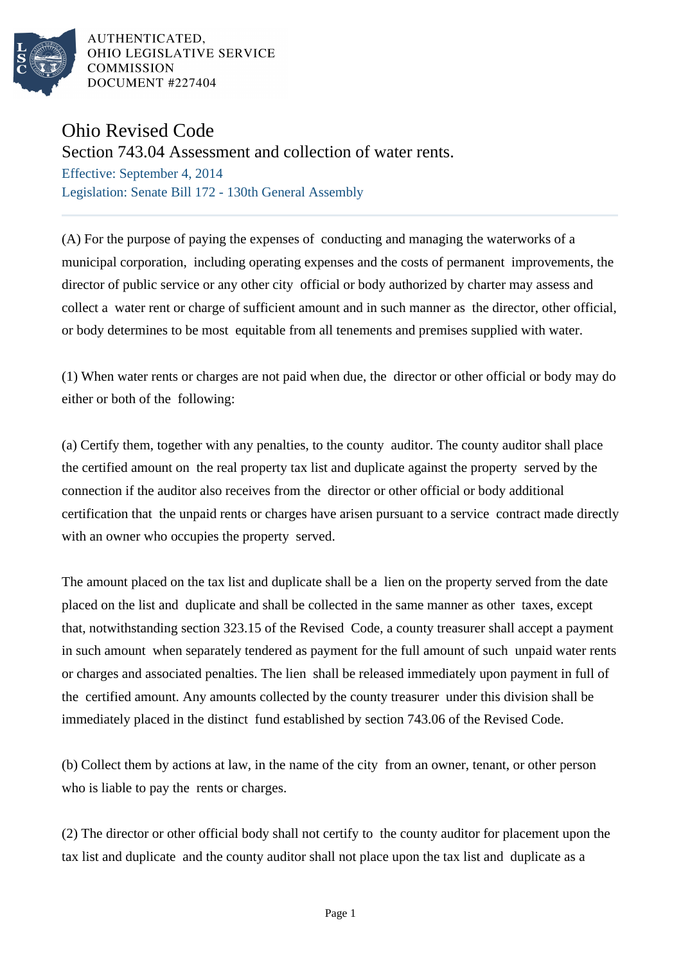

AUTHENTICATED, OHIO LEGISLATIVE SERVICE **COMMISSION** DOCUMENT #227404

## Ohio Revised Code

Section 743.04 Assessment and collection of water rents.

Effective: September 4, 2014 Legislation: Senate Bill 172 - 130th General Assembly

(A) For the purpose of paying the expenses of conducting and managing the waterworks of a municipal corporation, including operating expenses and the costs of permanent improvements, the director of public service or any other city official or body authorized by charter may assess and collect a water rent or charge of sufficient amount and in such manner as the director, other official, or body determines to be most equitable from all tenements and premises supplied with water.

(1) When water rents or charges are not paid when due, the director or other official or body may do either or both of the following:

(a) Certify them, together with any penalties, to the county auditor. The county auditor shall place the certified amount on the real property tax list and duplicate against the property served by the connection if the auditor also receives from the director or other official or body additional certification that the unpaid rents or charges have arisen pursuant to a service contract made directly with an owner who occupies the property served.

The amount placed on the tax list and duplicate shall be a lien on the property served from the date placed on the list and duplicate and shall be collected in the same manner as other taxes, except that, notwithstanding section 323.15 of the Revised Code, a county treasurer shall accept a payment in such amount when separately tendered as payment for the full amount of such unpaid water rents or charges and associated penalties. The lien shall be released immediately upon payment in full of the certified amount. Any amounts collected by the county treasurer under this division shall be immediately placed in the distinct fund established by section 743.06 of the Revised Code.

(b) Collect them by actions at law, in the name of the city from an owner, tenant, or other person who is liable to pay the rents or charges.

(2) The director or other official body shall not certify to the county auditor for placement upon the tax list and duplicate and the county auditor shall not place upon the tax list and duplicate as a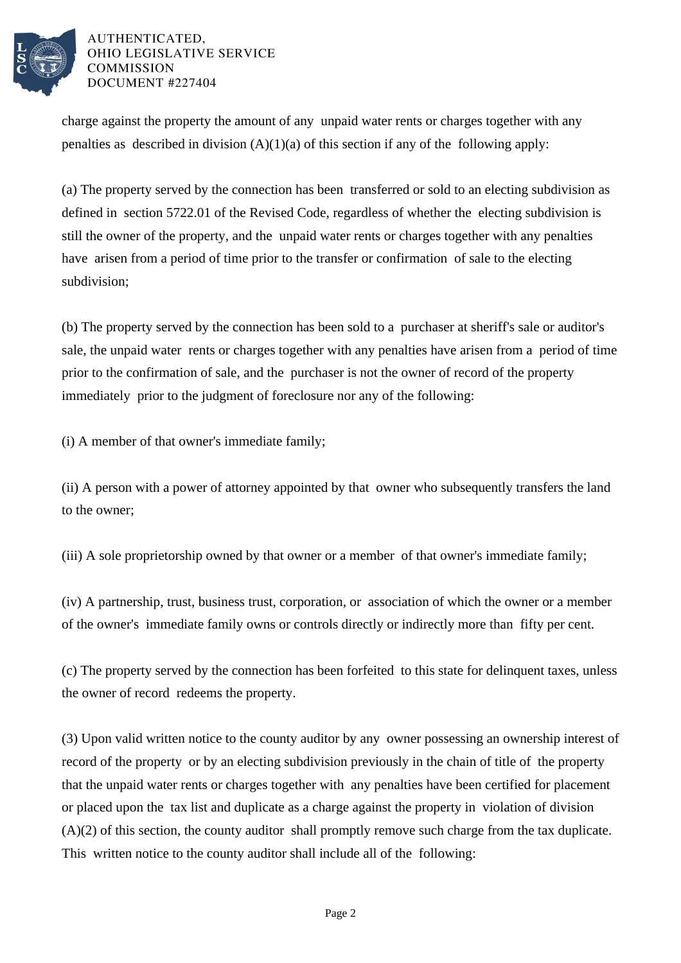

AUTHENTICATED. OHIO LEGISLATIVE SERVICE **COMMISSION** DOCUMENT #227404

charge against the property the amount of any unpaid water rents or charges together with any penalties as described in division  $(A)(1)(a)$  of this section if any of the following apply:

(a) The property served by the connection has been transferred or sold to an electing subdivision as defined in section 5722.01 of the Revised Code, regardless of whether the electing subdivision is still the owner of the property, and the unpaid water rents or charges together with any penalties have arisen from a period of time prior to the transfer or confirmation of sale to the electing subdivision;

(b) The property served by the connection has been sold to a purchaser at sheriff's sale or auditor's sale, the unpaid water rents or charges together with any penalties have arisen from a period of time prior to the confirmation of sale, and the purchaser is not the owner of record of the property immediately prior to the judgment of foreclosure nor any of the following:

(i) A member of that owner's immediate family;

(ii) A person with a power of attorney appointed by that owner who subsequently transfers the land to the owner;

(iii) A sole proprietorship owned by that owner or a member of that owner's immediate family;

(iv) A partnership, trust, business trust, corporation, or association of which the owner or a member of the owner's immediate family owns or controls directly or indirectly more than fifty per cent.

(c) The property served by the connection has been forfeited to this state for delinquent taxes, unless the owner of record redeems the property.

(3) Upon valid written notice to the county auditor by any owner possessing an ownership interest of record of the property or by an electing subdivision previously in the chain of title of the property that the unpaid water rents or charges together with any penalties have been certified for placement or placed upon the tax list and duplicate as a charge against the property in violation of division (A)(2) of this section, the county auditor shall promptly remove such charge from the tax duplicate. This written notice to the county auditor shall include all of the following: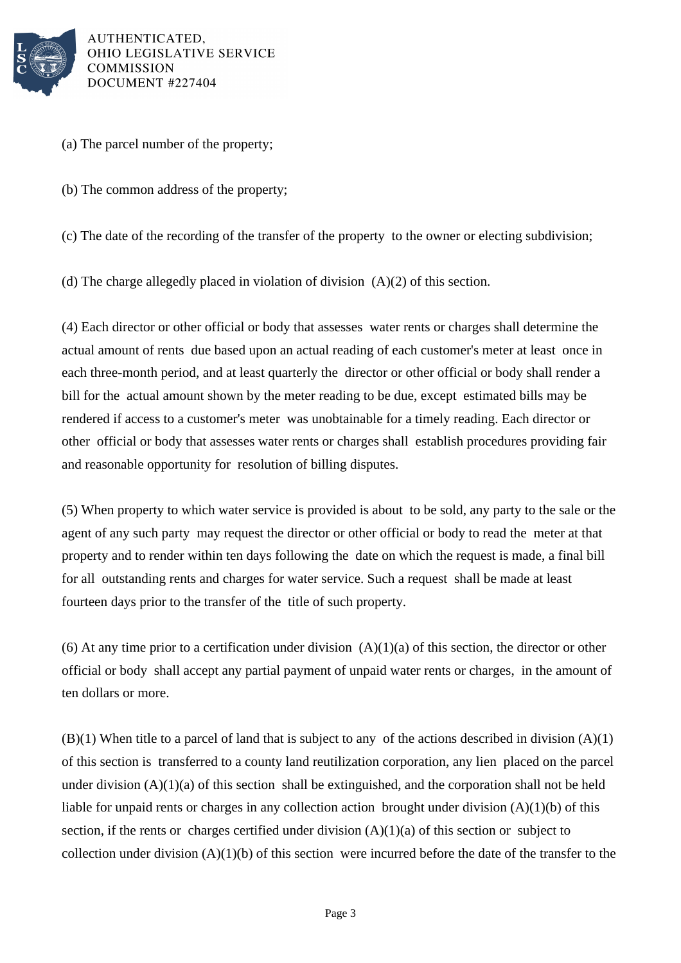

AUTHENTICATED. OHIO LEGISLATIVE SERVICE **COMMISSION** DOCUMENT #227404

- (a) The parcel number of the property;
- (b) The common address of the property;

(c) The date of the recording of the transfer of the property to the owner or electing subdivision;

(d) The charge allegedly placed in violation of division (A)(2) of this section.

(4) Each director or other official or body that assesses water rents or charges shall determine the actual amount of rents due based upon an actual reading of each customer's meter at least once in each three-month period, and at least quarterly the director or other official or body shall render a bill for the actual amount shown by the meter reading to be due, except estimated bills may be rendered if access to a customer's meter was unobtainable for a timely reading. Each director or other official or body that assesses water rents or charges shall establish procedures providing fair and reasonable opportunity for resolution of billing disputes.

(5) When property to which water service is provided is about to be sold, any party to the sale or the agent of any such party may request the director or other official or body to read the meter at that property and to render within ten days following the date on which the request is made, a final bill for all outstanding rents and charges for water service. Such a request shall be made at least fourteen days prior to the transfer of the title of such property.

(6) At any time prior to a certification under division  $(A)(1)(a)$  of this section, the director or other official or body shall accept any partial payment of unpaid water rents or charges, in the amount of ten dollars or more.

 $(B)(1)$  When title to a parcel of land that is subject to any of the actions described in division  $(A)(1)$ of this section is transferred to a county land reutilization corporation, any lien placed on the parcel under division  $(A)(1)(a)$  of this section shall be extinguished, and the corporation shall not be held liable for unpaid rents or charges in any collection action brought under division (A)(1)(b) of this section, if the rents or charges certified under division  $(A)(1)(a)$  of this section or subject to collection under division  $(A)(1)(b)$  of this section were incurred before the date of the transfer to the